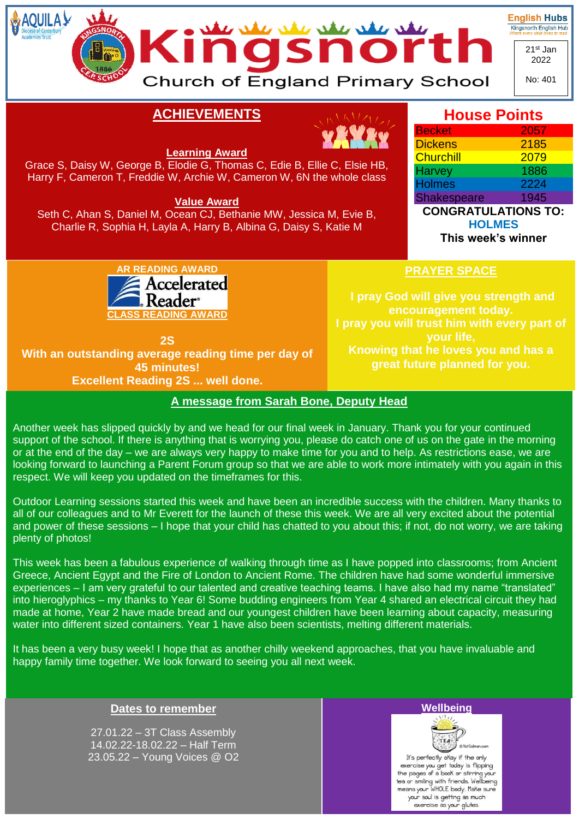

**House Points**

# **ACHIEVEMENTS**



#### **Learning Award**

Grace S, Daisy W, George B, Elodie G, Thomas C, Edie B, Ellie C, Elsie HB, Harry F, Cameron T, Freddie W, Archie W, Cameron W, 6N the whole class

**Value Award**

Seth C, Ahan S, Daniel M, Ocean CJ, Bethanie MW, Jessica M, Evie B, Charlie R, Sophia H, Layla A, Harry B, Albina G, Daisy S, Katie M



| <b>CONGRATULATIONS TO:</b> |      |
|----------------------------|------|
| <b>Shakespeare</b>         | 1945 |
| <b>Holmes</b>              | 2224 |
| <b>Harvey</b>              | 1886 |

**HOLMES**

**This week's winner**



**2S With an outstanding average reading time per day of 45 minutes! Excellent Reading 2S ... well done.**

## **PRAYER SPACE**

**I pray God will give you strength and encouragement today. I pray you will trust him with every part of your life, Knowing that he loves you and has a great future planned for you.**

### **A message from Sarah Bone, Deputy Head**

Another week has slipped quickly by and we head for our final week in January. Thank you for your continued support of the school. If there is anything that is worrying you, please do catch one of us on the gate in the morning or at the end of the day – we are always very happy to make time for you and to help. As restrictions ease, we are looking forward to launching a Parent Forum group so that we are able to work more intimately with you again in this respect. We will keep you updated on the timeframes for this.

Outdoor Learning sessions started this week and have been an incredible success with the children. Many thanks to all of our colleagues and to Mr Everett for the launch of these this week. We are all very excited about the potential and power of these sessions – I hope that your child has chatted to you about this; if not, do not worry, we are taking plenty of photos!

This week has been a fabulous experience of walking through time as I have popped into classrooms; from Ancient Greece, Ancient Egypt and the Fire of London to Ancient Rome. The children have had some wonderful immersive experiences – I am very grateful to our talented and creative teaching teams. I have also had my name "translated" into hieroglyphics – my thanks to Year 6! Some budding engineers from Year 4 shared an electrical circuit they had made at home, Year 2 have made bread and our youngest children have been learning about capacity, measuring water into different sized containers. Year 1 have also been scientists, melting different materials.

It has been a very busy week! I hope that as another chilly weekend approaches, that you have invaluable and happy family time together. We look forward to seeing you all next week.

## **Dates to remember**

27.01.22 – 3T Class Assembly 14.02.22-18.02.22 – Half Term 23.05.22 – Young Voices @ O2





It's perfectly okay if the only exercise you get today is flipping<br>the pages of a book or stirring your the pages of a book of smiling year<br>tea or smiling with friends. Wellbeing<br>means your WHOLE body. Make sure your soul is getting as much exercise as your glutes.